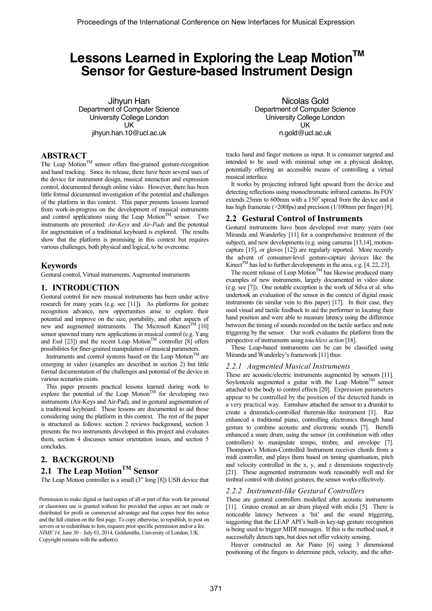# Lessons Learned in Exploring the Leap Motion<sup>™</sup> **Sensor for Gesture-based Instrument Design**

Jihyun Han Department of Computer Science University College London UK jihyun.han.10@ucl.ac.uk

## **ABSTRACT**

The Leap Motion<sup>TM</sup> sensor offers fine-grained gesture-recognition and hand tracking. Since its release, there have been several uses of the device for instrument design, musical interaction and expression control, documented through online video. However, there has been little formal documented investigation of the potential and challenges of the platform in this context. This paper presents lessons learned from work-in-progress on the development of musical instruments and control applications using the Leap Motion<sup>TM</sup> sensor. Two instruments are presented: *Air-Keys* and *Air-Pads* and the potential for augmentation of a traditional keyboard is explored. The results show that the platform is promising in this context but requires various challenges, both physical and logical, to be overcome.

## **Keywords**

Gestural control, Virtual instruments, Augmented instruments

## **1. INTRODUCTION**

Gestural control for new musical instruments has been under active research for many years (e.g. see [11]). As platforms for gesture recognition advance, new opportunities arise to explore their potential and improve on the size, portability, and other aspects of new and augmented instruments. The Microsoft Kinect<sup>TM</sup> [10] sensor spawned many new applications in musical control (e.g. Yang and Essl  $[23]$ ) and the recent Leap Motion<sup>TM</sup> controller  $[8]$  offers possibilities for finer-grained manipulation of musical parameters.

Instruments and control systems based on the Leap Motion<sup>TM</sup> are emerging in video (examples are described in section 2) but little formal documentation of the challenges and potential of the device in various scenarios exists.

This paper presents practical lessons learned during work to explore the potential of the Leap Motion<sup>TM</sup> for developing two instruments (Air-Keys and Air-Pad), and in gestural augmentation of a traditional keyboard. These lessons are documented to aid those considering using the platform in this context. The rest of the paper is structured as follows: section 2 reviews background, section 3 presents the two instruments developed in this project and evaluates them, section 4 discusses sensor orientation issues, and section 5 concludes.

## **2. BACKGROUND**

## **2.1 The Leap MotionTM Sensor**

The Leap Motion controller is a small (3" long [8]) USB device that

Permission to make digital or hard copies of all or part of this work for personal or classroom use is granted without fee provided that copies are not made or distributed for profit or commercial advantage and that copies bear this notice and the full citation on the first page. To copy otherwise, to republish, to post on servers or to redistribute to lists, requires prior specific permission and/or a fee. *NIME'14*, June 30 – July 03, 2014, Goldsmiths, University of London, UK. Copyright remains with the author(s).

Nicolas Gold Department of Computer Science University College London UK n.gold@ucl.ac.uk

tracks hand and finger motions as input. It is consumer targeted and intended to be used with minimal setup on a physical desktop, potentially offering an accessible means of controlling a virtual musical interface.

It works by projecting infrared light upward from the device and detecting reflections using monochromatic infrared cameras. Its FOV extends  $25$ mm to  $600$ mm with a  $150^\circ$  spread from the device and it has high framerate (>200fps) and precision (1/100mm per finger) [8].

## **2.2 Gestural Control of Instruments**

Gestural instruments have been developed over many years (see Miranda and Wanderley [11] for a comprehensive treatment of the subject), and new developments (e.g. using cameras [13,14], motioncapture [15], or gloves [12]) are regularly reported. More recently the advent of consumer-level gesture-capture devices like the Kinect<sup>TM</sup> has led to further developments in the area, e.g. [4, 22, 23].

The recent release of Leap Motion<sup>TM</sup> has likewise produced many examples of new instruments, largely documented in video alone (e.g. see [7]). One notable exception is the work of Silva et al. who undertook an evaluation of the sensor in the context of digital music instruments (in similar vein to this paper) [17]. In their case, they used visual and tactile feedback to aid the performer in locating their hand position and were able to measure latency using the difference between the timing of sounds recorded on the tactile surface and note triggering by the sensor. Our work evaluates the platform from the perspective of instruments using *touchless action* [18].

These Leap-based instruments can be can be classified using Miranda and Wanderley's framework [11] thus:

#### *2.2.1 Augmented Musical Instruments*

These are acoustic/electric instruments augmented by sensors [11]. Soylentcola augmented a guitar with the Leap Motion<sup>TM</sup> sensor attached to the body to control effects [20]. Expression parameters appear to be controlled by the position of the detected hands in a very practical way. Earnshaw attached the sensor to a drumkit to create a drumstick-controlled theremin-like instrument [1]. Raz enhanced a traditional piano, controlling electronics through hand gesture to combine acoustic and electronic sounds [7]. Bertelli enhanced a snare drum, using the sensor (in combination with other controllers) to manipulate tempo, timbre, and envelope [7]. Thompson's Motion-Controlled Instrument receives chords from a midi controller, and plays them based on timing quantisation, pitch and velocity controlled in the x, y, and z dimensions respectively [21]. These augmented instruments work reasonably well and for timbral control with distinct gestures, the sensor works effectively.

#### *2.2.2 Instrument-like Gestural Controllers*

These are gestural controllers modelled after acoustic instruments [11]. Gratoo created an air drum played with sticks [5]. There is noticeable latency between a 'hit' and the sound triggering, suggesting that the LEAP API's built-in key-tap gesture recognition is being used to trigger MIDI messages. If this is the method used, it successfully detects taps, but does not offer velocity sensing.

Heaver constructed an Air Piano [6] using 3 dimensional positioning of the fingers to determine pitch, velocity, and the after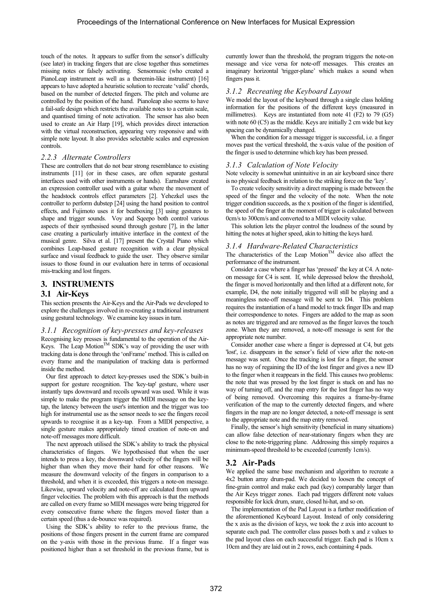touch of the notes. It appears to suffer from the sensor's difficulty (see later) in tracking fingers that are close together thus sometimes missing notes or falsely activating. Sensomusic (who created a PianoLeap instrument as well as a theremin-like instrument) [16] appears to have adopted a heuristic solution to recreate 'valid' chords, based on the number of detected fingers. The pitch and volume are controlled by the position of the hand. Pianoleap also seems to have a fail-safe design which restricts the available notes to a certain scale, and quantised timing of note activation. The sensor has also been used to create an Air Harp [19], which provides direct interaction with the virtual reconstruction, appearing very responsive and with simple note layout. It also provides selectable scales and expression controls.

#### *2.2.3 Alternate Controllers*

These are controllers that do not bear strong resemblance to existing instruments [11] (or in these cases, are often separate gestural interfaces used with other instruments or hands). Earnshaw created an expression controller used with a guitar where the movement of the headstock controls effect parameters [2]. Yehezkel uses the controller to perform dubstep [24] using the hand position to control effects, and Fujimoto uses it for beatboxing [3] using gestures to shape and trigger sounds. Voy and Sqeepo both control various aspects of their synthesised sound through gesture [7], in the latter case creating a particularly intuitive interface in the context of the musical genre. Silva et al. [17] present the Crystal Piano which combines Leap-based gesture recognition with a clear physical surface and visual feedback to guide the user. They observe similar issues to those found in our evaluation here in terms of occasional mis-tracking and lost fingers.

### **3. INSTRUMENTS**

#### **3.1 Air-Keys**

This section presents the Air-Keys and the Air-Pads we developed to explore the challenges involved in re-creating a traditional instrument using gestural technology. We examine key issues in turn.

#### *3.1.1 Recognition of key-presses and key-releases*

Recognising key presses is fundamental to the operation of the Air-Keys. The Leap Motion<sup>TM</sup> SDK's way of providing the user with tracking data is done through the 'onFrame' method. This is called on every frame and the manipulation of tracking data is performed inside the method.

Our first approach to detect key-presses used the SDK's built-in support for gesture recognition. The 'key-tap' gesture, where user instantly taps downward and recoils upward was used. While it was simple to make the program trigger the MIDI message on the keytap, the latency between the user's intention and the trigger was too high for instrumental use as the sensor needs to see the fingers recoil upwards to recognise it as a key-tap. From a MIDI perspective, a single gesture makes appropriately timed creation of note-on and note-off messages more difficult.

The next approach utilised the SDK's ability to track the physical characteristics of fingers. We hypothesised that when the user intends to press a key, the downward velocity of the fingers will be higher than when they move their hand for other reasons. We measure the downward velocity of the fingers in comparison to a threshold, and when it is exceeded, this triggers a note-on message. Likewise, upward velocity and note-off are calculated from upward finger velocities. The problem with this approach is that the methods are called on every frame so MIDI messages were being triggered for every consecutive frame where the fingers moved faster than a certain speed (thus a de-bounce was required).

Using the SDK's ability to refer to the previous frame, the positions of those fingers present in the current frame are compared on the y-axis with those in the previous frame. If a finger was positioned higher than a set threshold in the previous frame, but is currently lower than the threshold, the program triggers the note-on message and vice versa for note-off messages. This creates an imaginary horizontal 'trigger-plane' which makes a sound when fingers pass it.

#### *3.1.2 Recreating the Keyboard Layout*

We model the layout of the keyboard through a single class holding information for the positions of the different keys (measured in millimetres). Keys are instantiated from note 41 (F2) to 79 (G5) with note 60 (C5) as the middle. Keys are initially 2 cm wide but key spacing can be dynamically changed.

When the condition for a message trigger is successful, i.e. a finger moves past the vertical threshold, the x-axis value of the position of the finger is used to determine which key has been pressed.

#### *3.1.3 Calculation of Note Velocity*

Note velocity is somewhat unintuitive in an air keyboard since there is no physical feedback in relation to the striking force on the 'key'.

To create velocity sensitivity a direct mapping is made between the speed of the finger and the velocity of the note. When the note trigger condition succeeds, as the x position of the finger is identified, the speed of the finger at the moment of trigger is calculated between 0cm/s to 300cm/s and converted to a MIDI velocity value.

This solution lets the player control the loudness of the sound by hitting the notes at higher speed, akin to hitting the keys hard.

#### *3.1.4 Hardware-Related Characteristics*

The characteristics of the Leap Motion<sup>TM</sup> device also affect the performance of the instrument.

Consider a case where a finger has 'pressed' the key at C4. A noteon message for C4 is sent. If, while depressed below the threshold, the finger is moved horizontally and then lifted at a different note, for example, D4, the note initially triggered will still be playing and a meaningless note-off message will be sent to D4. This problem requires the instantiation of a hand model to track finger IDs and map their correspondence to notes. Fingers are added to the map as soon as notes are triggered and are removed as the finger leaves the touch zone. When they are removed, a note-off message is sent for the appropriate note number.

Consider another case where a finger is depressed at C4, but gets 'lost', i.e. disappears in the sensor's field of view after the note-on message was sent. Once the tracking is lost for a finger, the sensor has no way of regaining the ID of the lost finger and gives a new ID to the finger when it reappears in the field. This causes two problems: the note that was pressed by the lost finger is stuck on and has no way of turning off, and the map entry for the lost finger has no way of being removed. Overcoming this requires a frame-by-frame verification of the map to the currently detected fingers, and where fingers in the map are no longer detected, a note-off message is sent to the appropriate note and the map entry removed.

Finally, the sensor's high sensitivity (beneficial in many situations) can allow false detection of near-stationary fingers when they are close to the note-triggering plane. Addressing this simply requires a minimum-speed threshold to be exceeded (currently 1cm/s).

## **3.2 Air-Pads**

We applied the same base mechanism and algorithm to recreate a 4x2 button array drum-pad. We decided to loosen the concept of fine-grain control and make each pad (key) comparably larger than the Air Keys trigger zones. Each pad triggers different note values responsible for kick drum, snare, closed hi-hat, and so on.

The implementation of the Pad Layout is a further modification of the aforementioned Keyboard Layout. Instead of only considering the x axis as the division of keys, we took the z axis into account to separate each pad. The controller class passes both x and z values to the pad layout class on each successful trigger. Each pad is 10cm x 10cm and they are laid out in 2 rows, each containing 4 pads.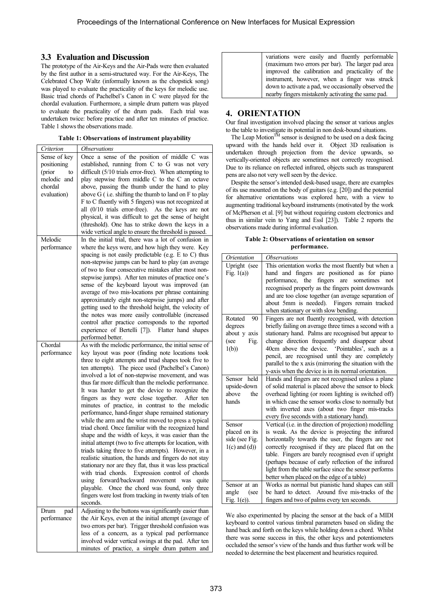## **3.3 Evaluation and Discussion**

The prototype of the Air-Keys and the Air-Pads were then evaluated by the first author in a semi-structured way. For the Air-Keys, The Celebrated Chop Waltz (informally known as the chopstick song) was played to evaluate the practicality of the keys for melodic use. Basic triad chords of Pachelbel's Canon in C were played for the chordal evaluation. Furthermore, a simple drum pattern was played to evaluate the practicality of the drum pads. Each trial was undertaken twice: before practice and after ten minutes of practice. Table 1 shows the observations made.

**Table 1: Observations of instrument playability** 

| Criterion    | Observations                                                                                              |
|--------------|-----------------------------------------------------------------------------------------------------------|
| Sense of key | Once a sense of the position of middle C was                                                              |
| positioning  | established, running from C to G was not very                                                             |
| (prior<br>to | difficult (5/10 trials error-free). When attempting to                                                    |
| melodic and  | play stepwise from middle C to the C an octave                                                            |
| chordal      | above, passing the thumb under the hand to play                                                           |
| evaluation)  | above G (i.e. shifting the thumb to land on F to play                                                     |
|              | F to C fluently with 5 fingers) was not recognized at                                                     |
|              | all $(0/10)$ trials error-free). As the keys are not                                                      |
|              | physical, it was difficult to get the sense of height                                                     |
|              | (threshold). One has to strike down the keys in a                                                         |
|              | wide vertical angle to ensure the threshold is passed.                                                    |
| Melodic      | In the initial trial, there was a lot of confusion in                                                     |
| performance  | where the keys were, and how high they were. Key                                                          |
|              | spacing is not easily predictable (e.g. E to C) thus                                                      |
|              | non-stepwise jumps can be hard to play (an average<br>of two to four consecutive mistakes after most non- |
|              | stepwise jumps). After ten minutes of practice one's                                                      |
|              | sense of the keyboard layout was improved (an                                                             |
|              | average of two mis-locations per phrase containing                                                        |
|              | approximately eight non-stepwise jumps) and after                                                         |
|              | getting used to the threshold height, the velocity of                                                     |
|              | the notes was more easily controllable (increased                                                         |
|              | control after practice corresponds to the reported                                                        |
|              | experience of Bertelli [7]). Flatter hand shapes                                                          |
|              | performed better.                                                                                         |
| Chordal      | As with the melodic performance, the initial sense of                                                     |
|              |                                                                                                           |
| performance  | key layout was poor (finding note locations took                                                          |
|              | three to eight attempts and triad shapes took five to                                                     |
|              | ten attempts). The piece used (Pachelbel's Canon)                                                         |
|              | involved a lot of non-stepwise movement, and was                                                          |
|              | thus far more difficult than the melodic performance.                                                     |
|              | It was harder to get the device to recognize the                                                          |
|              | fingers as they were close together. After ten                                                            |
|              | minutes of practice, in contrast to the melodic                                                           |
|              | performance, hand-finger shape remained stationary                                                        |
|              | while the arm and the wrist moved to press a typical                                                      |
|              | triad chord. Once familiar with the recognized hand                                                       |
|              | shape and the width of keys, it was easier than the                                                       |
|              | initial attempt (two to five attempts for location, with                                                  |
|              | triads taking three to five attempts). However, in a                                                      |
|              | realistic situation, the hands and fingers do not stay                                                    |
|              | stationary nor are they flat, thus it was less practical                                                  |
|              | with triad chords. Expression control of chords                                                           |
|              | forward/backward movement was<br>using<br>quite<br>playable.                                              |
|              | Once the chord was found, only three                                                                      |
|              | fingers were lost from tracking in twenty trials of ten<br>seconds.                                       |
| Drum<br>pad  | Adjusting to the buttons was significantly easier than                                                    |
| performance  | the Air Keys, even at the initial attempt (average of                                                     |
|              | two errors per bar). Trigger threshold confusion was                                                      |
|              | less of a concern, as a typical pad performance                                                           |
|              | involved wider vertical swings at the pad. After ten<br>minutes of practice, a simple drum pattern and    |

| variations were easily and fluently performable      |
|------------------------------------------------------|
| (maximum two errors per bar). The larger pad area    |
| improved the calibration and practicality of the     |
| instrument, however, when a finger was struck        |
| down to activate a pad, we occasionally observed the |
| nearby fingers mistakenly activating the same pad.   |

## **4. ORIENTATION**

Our final investigation involved placing the sensor at various angles to the table to investigate its potential in non desk-bound situations.

The Leap Motion<sup>TM</sup> sensor is designed to be used on a desk facing upward with the hands held over it. Object 3D realisation is undertaken through projection from the device upwards, so vertically-oriented objects are sometimes not correctly recognised. Due to its reliance on reflected infrared, objects such as transparent pens are also not very well seen by the device.

Despite the sensor's intended desk-based usage, there are examples of its use mounted on the body of guitars (e.g. [20]) and the potential for alternative orientations was explored here, with a view to augmenting traditional keyboard instruments (motivated by the work of McPherson et al. [9] but without requiring custom electronics and thus in similar vein to Yang and Essl [23]). Table 2 reports the observations made during informal evaluation.

#### **Table 2: Observations of orientation on sensor performance.**

| Orientation                                                      | <i><b>Observations</b></i>                                                                                                                                                                                                                                                                                                                                                                                                                                 |
|------------------------------------------------------------------|------------------------------------------------------------------------------------------------------------------------------------------------------------------------------------------------------------------------------------------------------------------------------------------------------------------------------------------------------------------------------------------------------------------------------------------------------------|
| Upright (see<br>Fig. $1(a)$ )                                    | This orientation works the most fluently but when a<br>hand and fingers are positioned as for piano<br>performance, the<br>fingers<br>sometimes<br>are<br>not<br>recognised properly as the fingers point downwards<br>and are too close together (an average separation of<br>about 5mm is needed). Fingers remain tracked<br>when stationary or with slow bending.                                                                                       |
| Rotated<br>90<br>degrees<br>about y axis<br>(see<br>Fig.<br>1(b) | Fingers are not fluently recognised, with detection<br>briefly failing on average three times a second with a<br>stationary hand. Palms are recognised but appear to<br>change direction frequently and disappear about<br>40cm above the device. 'Pointables', such as a<br>pencil, are recognised until they are completely<br>parallel to the x axis (mirroring the situation with the<br>y-axis when the device is in its normal orientation.          |
| held<br>Sensor<br>upside-down<br>above<br>the<br>hands           | Hands and fingers are not recognised unless a plane<br>of solid material is placed above the sensor to block<br>overhead lighting (or room lighting is switched off)<br>in which case the sensor works close to normally but<br>with inverted axes (about two finger mis-tracks<br>every five seconds with a stationary hand).                                                                                                                             |
| Sensor<br>placed on its<br>side (see Fig.<br>$1(c)$ and $(d)$ )  | Vertical ( <i>i.e.</i> in the direction of projection) modelling<br>is weak. As the device is projecting the infrared<br>horizontally towards the user, the fingers are not<br>correctly recognised if they are placed flat on the<br>table. Fingers are barely recognised even if upright<br>(perhaps because of early reflection of the infrared<br>light from the table surface since the sensor performs<br>better when placed on the edge of a table) |
| Sensor at an<br>angle<br>(see<br>Fig. $1(e)$ ).                  | Works as normal but pianistic hand shapes can still<br>be hard to detect. Around five mis-tracks of the<br>fingers and two of palms every ten seconds.                                                                                                                                                                                                                                                                                                     |

We also experimented by placing the sensor at the back of a MIDI keyboard to control various timbral parameters based on sliding the hand back and forth on the keys while holding down a chord. Whilst there was some success in this, the other keys and potentiometers occluded the sensor's view of the hands and thus further work will be needed to determine the best placement and heuristics required.